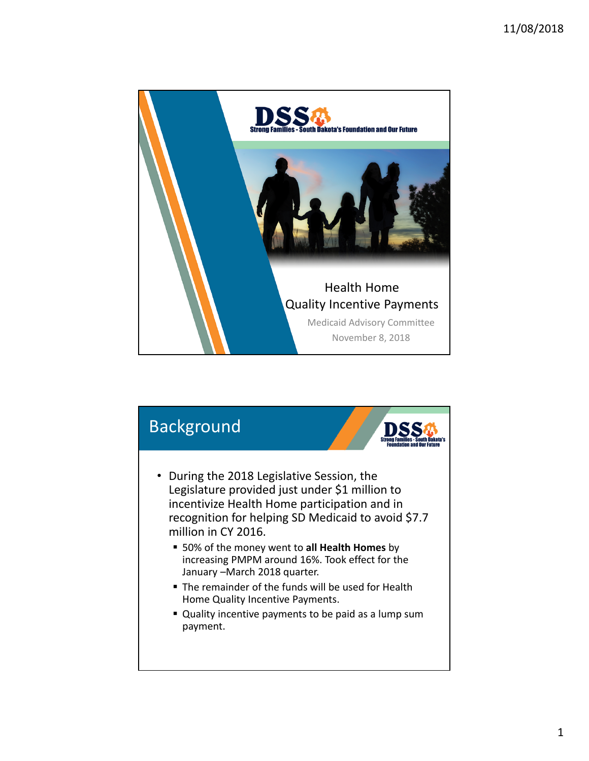

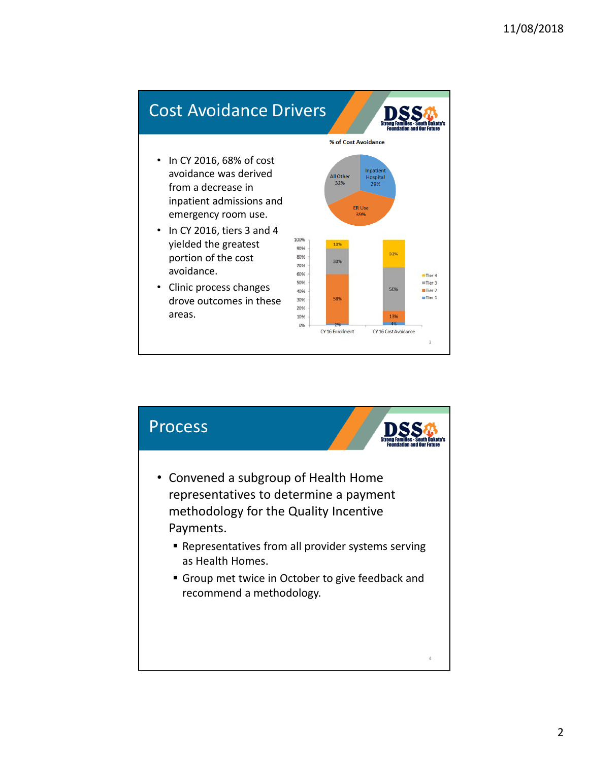

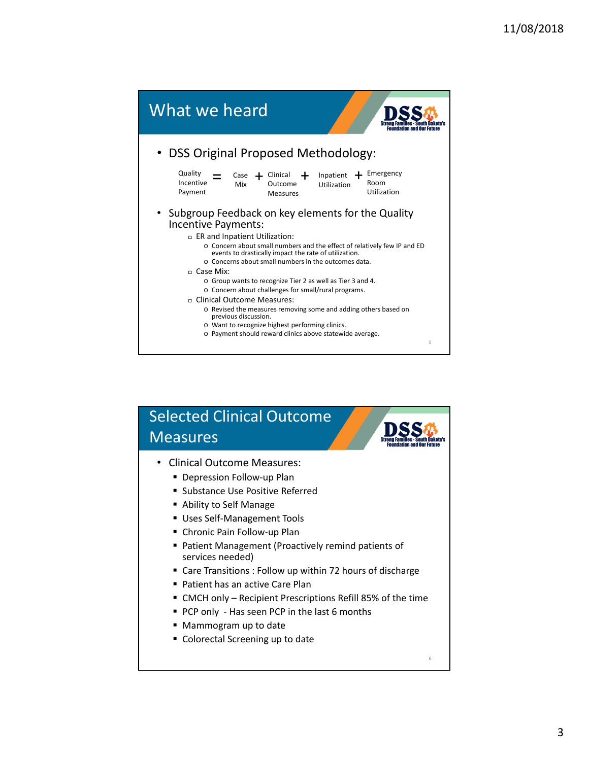

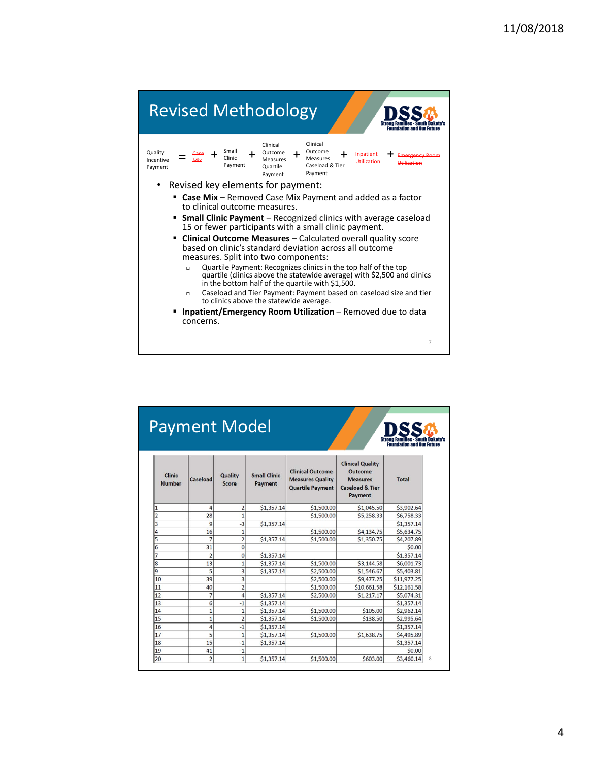| <b>Revised Methodology</b>                                                                                                                                                                                                                                                                                                                                                                                                                                                         |
|------------------------------------------------------------------------------------------------------------------------------------------------------------------------------------------------------------------------------------------------------------------------------------------------------------------------------------------------------------------------------------------------------------------------------------------------------------------------------------|
| Clinical<br>Clinical<br>Small<br>Outcome<br>Outcome<br>Quality<br>Clinic<br>Measures<br><b>Measures</b><br>Incentive<br>Caseload & Tier<br>Payment<br>Quartile<br>Payment<br>Payment<br>Payment                                                                                                                                                                                                                                                                                    |
| Revised key elements for payment:                                                                                                                                                                                                                                                                                                                                                                                                                                                  |
| <b>Case Mix</b> – Removed Case Mix Payment and added as a factor<br>to clinical outcome measures.<br><b>Small Clinic Payment</b> – Recognized clinics with average caseload<br>15 or fewer participants with a small clinic payment.<br>• Clinical Outcome Measures - Calculated overall quality score<br>based on clinic's standard deviation across all outcome<br>measures. Split into two components:<br>Quartile Payment: Recognizes clinics in the top half of the top<br>Π. |
| quartile (clinics above the statewide average) with \$2,500 and clinics<br>in the bottom half of the quartile with \$1,500.                                                                                                                                                                                                                                                                                                                                                        |
| Caseload and Tier Payment: Payment based on caseload size and tier<br>П.<br>to clinics above the statewide average.                                                                                                                                                                                                                                                                                                                                                                |
| <b>Inpatient/Emergency Room Utilization</b> – Removed due to data<br>concerns.                                                                                                                                                                                                                                                                                                                                                                                                     |
| 7                                                                                                                                                                                                                                                                                                                                                                                                                                                                                  |

| <b>Payment Model</b><br><b>Foundation and Our Future</b> |                |                  |                                |                                                                               |                                                                                                       |              |
|----------------------------------------------------------|----------------|------------------|--------------------------------|-------------------------------------------------------------------------------|-------------------------------------------------------------------------------------------------------|--------------|
| Clinic<br><b>Number</b>                                  | Caseload       | Quality<br>Score | <b>Small Clinic</b><br>Payment | <b>Clinical Outcome</b><br><b>Measures Quality</b><br><b>Quartile Payment</b> | <b>Clinical Quality</b><br>Outcome<br><b>Measures</b><br><b>Caseload &amp; Tier</b><br><b>Payment</b> | <b>Total</b> |
| 1                                                        | 4              | $\overline{2}$   | \$1,357.14                     | \$1,500.00                                                                    | \$1,045.50                                                                                            | \$3,902.64   |
| $\overline{2}$                                           | 28             | $\overline{1}$   |                                | \$1,500.00                                                                    | \$5,258.33                                                                                            | \$6,758.33   |
| 3                                                        | 9              | $-3$             | \$1,357.14                     |                                                                               |                                                                                                       | \$1,357.14   |
| 4                                                        | 16             | $\overline{1}$   |                                | \$1,500.00                                                                    | \$4,134.75                                                                                            | \$5,634.75   |
| 5                                                        | $\overline{7}$ | $\overline{2}$   | \$1,357.14                     | \$1,500.00                                                                    | \$1,350.75                                                                                            | \$4,207.89   |
| 6                                                        | 31             | $\bf{0}$         |                                |                                                                               |                                                                                                       | \$0.00       |
| 7                                                        | $\overline{2}$ | $\bf{0}$         | \$1,357.14                     |                                                                               |                                                                                                       | \$1,357.14   |
| 8                                                        | 13             | $\overline{1}$   | \$1,357.14                     | \$1,500.00                                                                    | \$3,144.58                                                                                            | \$6,001.73   |
| 9                                                        | 5              | 3                | \$1,357.14                     | \$2,500.00                                                                    | \$1,546.67                                                                                            | \$5,403.81   |
| 10                                                       | 39             | $\overline{3}$   |                                | \$2,500.00                                                                    | \$9,477.25                                                                                            | \$11,977.25  |
| 11                                                       | 40             | $\overline{c}$   |                                | \$1,500.00                                                                    | \$10,661.58                                                                                           | \$12,161.58  |
| 12                                                       | $\overline{7}$ | 4                | \$1,357.14                     | \$2,500.00                                                                    | \$1,217.17                                                                                            | \$5,074.31   |
| 13                                                       | 6              | $-1$             | \$1,357.14                     |                                                                               |                                                                                                       | \$1,357.14   |
| 14                                                       | $\mathbf{1}$   | $\mathbf{1}$     | \$1,357.14                     | \$1,500.00                                                                    | \$105.00                                                                                              | \$2,962.14   |
| 15                                                       | $\overline{1}$ | $\overline{2}$   | \$1,357.14                     | \$1,500,00                                                                    | \$138.50                                                                                              | \$2,995.64   |
| 16                                                       | 4              | $-1$             | \$1,357.14                     |                                                                               |                                                                                                       | \$1,357.14   |
| 17                                                       | 5              | $\mathbf{1}$     | \$1,357.14                     | \$1,500.00                                                                    | \$1,638.75                                                                                            | \$4,495.89   |
| 18                                                       | 15             | $-1$             | \$1,357.14                     |                                                                               |                                                                                                       | \$1,357.14   |
| 19                                                       | 41             | $-1$             |                                |                                                                               |                                                                                                       | \$0.00       |
| 20                                                       | $\overline{2}$ | 1                | \$1,357.14                     | \$1,500.00                                                                    | \$603.00                                                                                              | \$3,460.14   |